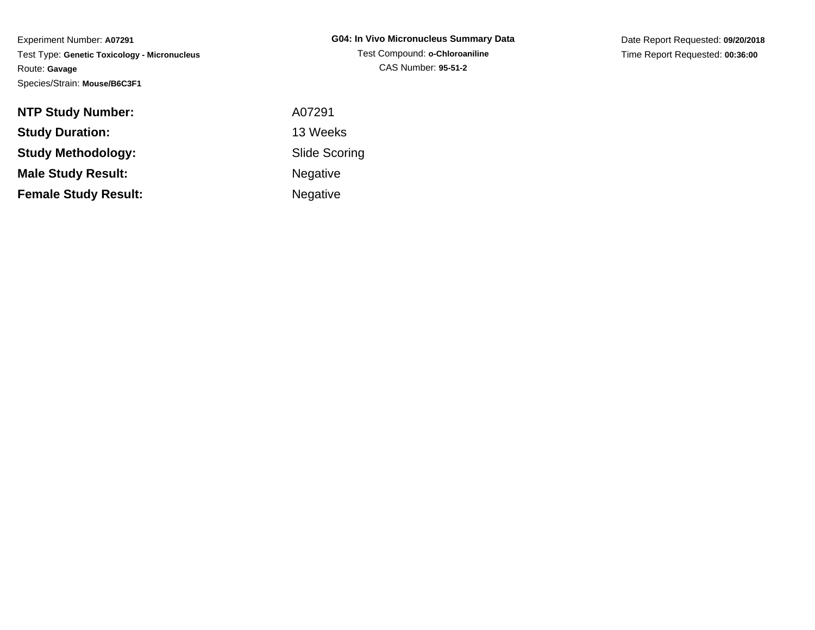Date Report Requested: **09/20/2018**Time Report Requested: **00:36:00**

| <b>NTP Study Number:</b>    | A07291               |
|-----------------------------|----------------------|
| <b>Study Duration:</b>      | 13 Weeks             |
| <b>Study Methodology:</b>   | <b>Slide Scoring</b> |
| <b>Male Study Result:</b>   | <b>Negative</b>      |
| <b>Female Study Result:</b> | Negative             |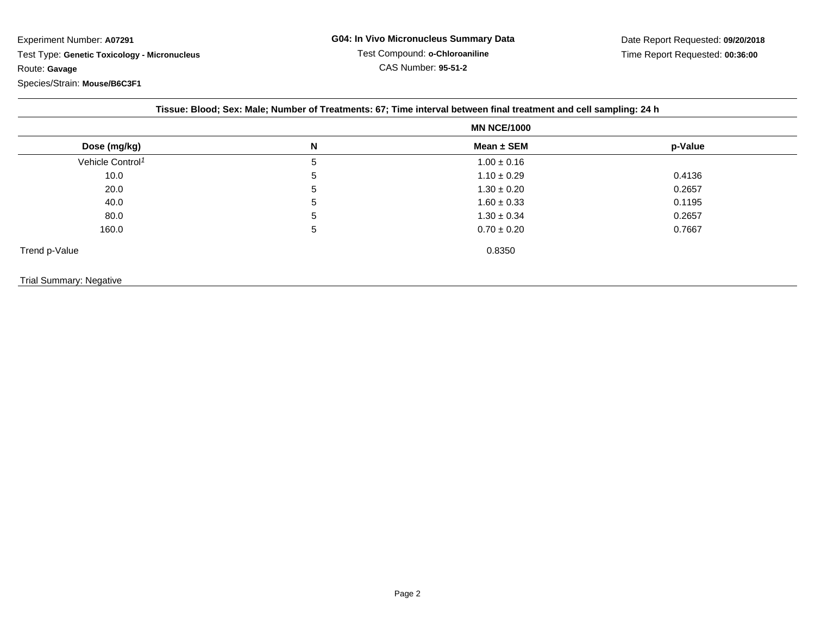|                              | <b>MN NCE/1000</b> |                 |         |  |
|------------------------------|--------------------|-----------------|---------|--|
| Dose (mg/kg)                 | N                  | Mean ± SEM      | p-Value |  |
| Vehicle Control <sup>1</sup> | 5                  | $1.00 \pm 0.16$ |         |  |
| 10.0                         | 5                  | $1.10 \pm 0.29$ | 0.4136  |  |
| 20.0                         | 5                  | $1.30 \pm 0.20$ | 0.2657  |  |
| 40.0                         | 5                  | $1.60 \pm 0.33$ | 0.1195  |  |
| 80.0                         | 5                  | $1.30 \pm 0.34$ | 0.2657  |  |
| 160.0                        | 5                  | $0.70 \pm 0.20$ | 0.7667  |  |
| Trend p-Value                |                    | 0.8350          |         |  |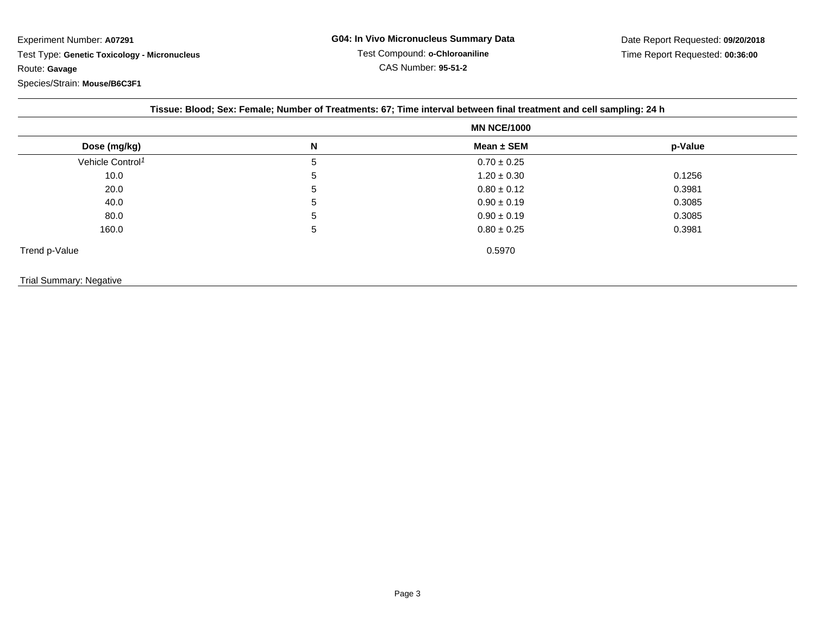| Dose (mg/kg)                 | <b>MN NCE/1000</b> |                 |         |
|------------------------------|--------------------|-----------------|---------|
|                              | N                  | Mean $\pm$ SEM  | p-Value |
| Vehicle Control <sup>1</sup> | 5                  | $0.70 \pm 0.25$ |         |
| 10.0                         | 5                  | $1.20 \pm 0.30$ | 0.1256  |
| 20.0                         | h                  | $0.80 \pm 0.12$ | 0.3981  |
| 40.0                         | 5                  | $0.90 \pm 0.19$ | 0.3085  |
| 80.0                         | 5                  | $0.90 \pm 0.19$ | 0.3085  |
| 160.0                        | 5                  | $0.80 \pm 0.25$ | 0.3981  |
| Trend p-Value                |                    | 0.5970          |         |

## Trial Summary: Negative